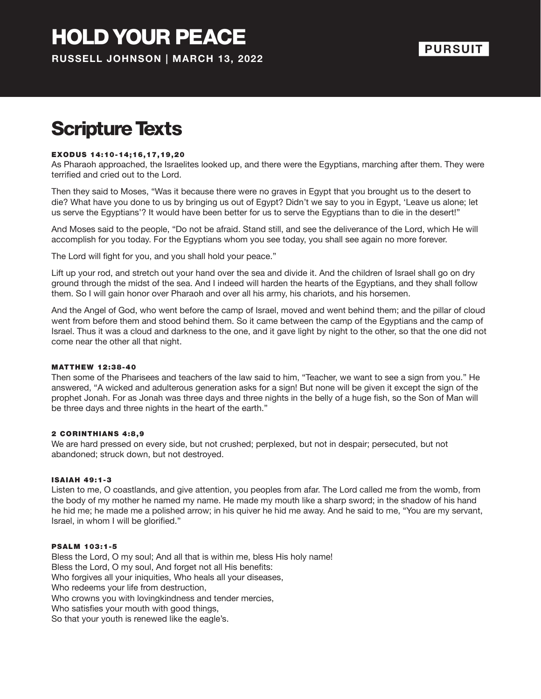## Scripture Texts

#### EXODUS 14:10-14;16,17,19,20

As Pharaoh approached, the Israelites looked up, and there were the Egyptians, marching after them. They were terrified and cried out to the Lord.

Then they said to Moses, "Was it because there were no graves in Egypt that you brought us to the desert to die? What have you done to us by bringing us out of Egypt? Didn't we say to you in Egypt, 'Leave us alone; let us serve the Egyptians'? It would have been better for us to serve the Egyptians than to die in the desert!"

And Moses said to the people, "Do not be afraid. Stand still, and see the deliverance of the Lord, which He will accomplish for you today. For the Egyptians whom you see today, you shall see again no more forever.

The Lord will fight for you, and you shall hold your peace."

Lift up your rod, and stretch out your hand over the sea and divide it. And the children of Israel shall go on dry ground through the midst of the sea. And I indeed will harden the hearts of the Egyptians, and they shall follow them. So I will gain honor over Pharaoh and over all his army, his chariots, and his horsemen.

And the Angel of God, who went before the camp of Israel, moved and went behind them; and the pillar of cloud went from before them and stood behind them. So it came between the camp of the Egyptians and the camp of Israel. Thus it was a cloud and darkness to the one, and it gave light by night to the other, so that the one did not come near the other all that night.

#### **MATTHEW 12:38-40**

Then some of the Pharisees and teachers of the law said to him, "Teacher, we want to see a sign from you." He answered, "A wicked and adulterous generation asks for a sign! But none will be given it except the sign of the prophet Jonah. For as Jonah was three days and three nights in the belly of a huge fish, so the Son of Man will be three days and three nights in the heart of the earth."

#### 2 CORINTHIANS 4:8,9

We are hard pressed on every side, but not crushed; perplexed, but not in despair; persecuted, but not abandoned; struck down, but not destroyed.

#### ISAIAH 49:1-3

Listen to me, O coastlands, and give attention, you peoples from afar. The Lord called me from the womb, from the body of my mother he named my name. He made my mouth like a sharp sword; in the shadow of his hand he hid me; he made me a polished arrow; in his quiver he hid me away. And he said to me, "You are my servant, Israel, in whom I will be glorified."

#### **PSALM 103:1-5**

Bless the Lord, O my soul; And all that is within me, bless His holy name! Bless the Lord, O my soul, And forget not all His benefits: Who forgives all your iniquities, Who heals all your diseases, Who redeems your life from destruction, Who crowns you with lovingkindness and tender mercies, Who satisfies your mouth with good things, So that your youth is renewed like the eagle's.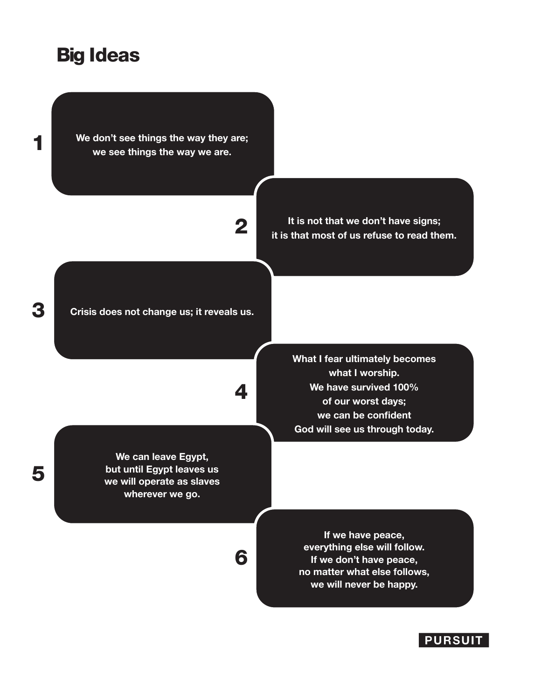### Big Ideas

**We don't see things the way they are; we see things the way we are.**

2

**It is not that we don't have signs; it is that most of us refuse to read them.**

**Crisis does not change us; it reveals us.**

4

6

**We can leave Egypt, but until Egypt leaves us we will operate as slaves wherever we go.**

**What I fear ultimately becomes what I worship. We have survived 100% of our worst days; we can be confident God will see us through today.**

**If we have peace, everything else will follow. If we don't have peace, no matter what else follows, we will never be happy.**

**PURSUIT** 



1

5